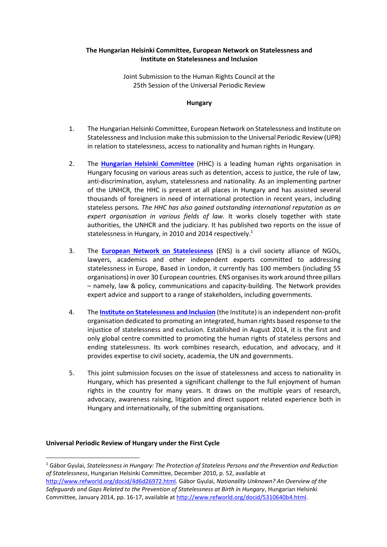### **The Hungarian Helsinki Committee, European Network on Statelessness and Institute on Statelessness and Inclusion**

Joint Submission to the Human Rights Council at the 25th Session of the Universal Periodic Review

### **Hungary**

- 1. The Hungarian Helsinki Committee, European Network on Statelessness and Institute on Statelessness and Inclusion make this submission to the Universal Periodic Review (UPR) in relation to statelessness, access to nationality and human rights in Hungary.
- 2. The **[Hungarian Helsinki Committee](http://helsinki.hu/en/)** (HHC) is a leading human rights organisation in Hungary focusing on various areas such as detention, access to justice, the rule of law, anti-discrimination, asylum, statelessness and nationality. As an implementing partner of the UNHCR, the HHC is present at all places in Hungary and has assisted several thousands of foreigners in need of international protection in recent years, including stateless persons*. The HHC has also gained outstanding international reputation as an expert organisation in various fields of law.* It works closely together with state authorities, the UNHCR and the judiciary. It has published two reports on the issue of statelessness in Hungary, in 2010 and 2014 respectively.<sup>1</sup>
- 3. The **[European Network on Statelessness](http://www.statelessness.eu/)** (ENS) is a civil society alliance of NGOs, lawyers, academics and other independent experts committed to addressing statelessness in Europe, Based in London, it currently has 100 members (including 55 organisations) in over 30 European countries. ENS organises its work around three pillars – namely, law & policy, communications and capacity-building. The Network provides expert advice and support to a range of stakeholders, including governments.
- 4. The **[Institute on Statelessness and Inclusion](http://www.institutesi.org/)** (the Institute) is an independent non-profit organisation dedicated to promoting an integrated, human rights based response to the injustice of statelessness and exclusion. Established in August 2014, it is the first and only global centre committed to promoting the human rights of stateless persons and ending statelessness. Its work combines research, education, and advocacy, and it provides expertise to civil society, academia, the UN and governments.
- 5. This joint submission focuses on the issue of statelessness and access to nationality in Hungary, which has presented a significant challenge to the full enjoyment of human rights in the country for many years. It draws on the multiple years of research, advocacy, awareness raising, litigation and direct support related experience both in Hungary and internationally, of the submitting organisations.

# **Universal Periodic Review of Hungary under the First Cycle**

<sup>1</sup> Gábor Gyulai, *Statelessness in Hungary: The Protection of Stateless Persons and the Prevention and Reduction of Statelessness*, Hungarian Helsinki Committee, December 2010, p. 52, available at [http://www.refworld.org/docid/4d6d26972.html.](http://www.refworld.org/docid/4d6d26972.html) Gábor Gyulai, *Nationality Unknown? An Overview of the Safeguards and Gaps Related to the Prevention of Statelessness at Birth in Hungary*, Hungarian Helsinki Committee, January 2014, pp. 16-17, available at [http://www.refworld.org/docid/5310640b4.html.](http://www.refworld.org/docid/5310640b4.html)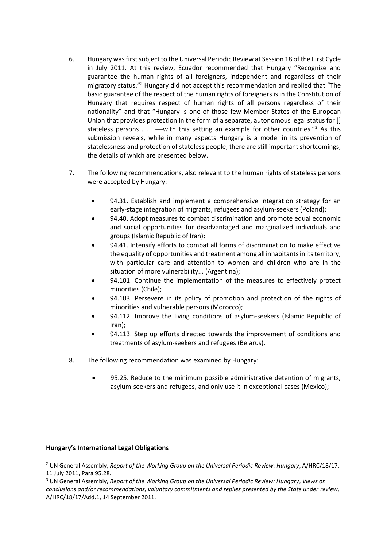- 6. Hungary was first subject to the Universal Periodic Review at Session 18 of the First Cycle in July 2011. At this review, Ecuador recommended that Hungary "Recognize and guarantee the human rights of all foreigners, independent and regardless of their migratory status."<sup>2</sup> Hungary did not accept this recommendation and replied that "The basic guarantee of the respect of the human rights of foreigners is in the Constitution of Hungary that requires respect of human rights of all persons regardless of their nationality" and that "Hungary is one of those few Member States of the European Union that provides protection in the form of a separate, autonomous legal status for [] stateless persons  $\ldots$  —with this setting an example for other countries."<sup>3</sup> As this submission reveals, while in many aspects Hungary is a model in its prevention of statelessness and protection of stateless people, there are still important shortcomings, the details of which are presented below.
- 7. The following recommendations, also relevant to the human rights of stateless persons were accepted by Hungary:
	- 94.31. Establish and implement a comprehensive integration strategy for an early-stage integration of migrants, refugees and asylum-seekers (Poland);
	- 94.40. Adopt measures to combat discrimination and promote equal economic and social opportunities for disadvantaged and marginalized individuals and groups (Islamic Republic of Iran);
	- 94.41. Intensify efforts to combat all forms of discrimination to make effective the equality of opportunities and treatment among all inhabitants in its territory, with particular care and attention to women and children who are in the situation of more vulnerability... (Argentina);
	- 94.101. Continue the implementation of the measures to effectively protect minorities (Chile);
	- 94.103. Persevere in its policy of promotion and protection of the rights of minorities and vulnerable persons (Morocco);
	- 94.112. Improve the living conditions of asylum-seekers (Islamic Republic of Iran);
	- 94.113. Step up efforts directed towards the improvement of conditions and treatments of asylum-seekers and refugees (Belarus).
- 8. The following recommendation was examined by Hungary:
	- 95.25. Reduce to the minimum possible administrative detention of migrants, asylum-seekers and refugees, and only use it in exceptional cases (Mexico);

#### **Hungary's International Legal Obligations**

<sup>2</sup> UN General Assembly, *Report of the Working Group on the Universal Periodic Review: Hungary*, A/HRC/18/17, 11 July 2011, Para 95.28.

<sup>3</sup> UN General Assembly, *Report of the Working Group on the Universal Periodic Review: Hungary*, *Views on conclusions and/or recommendations, voluntary commitments and replies presented by the State under review*, A/HRC/18/17/Add.1, 14 September 2011.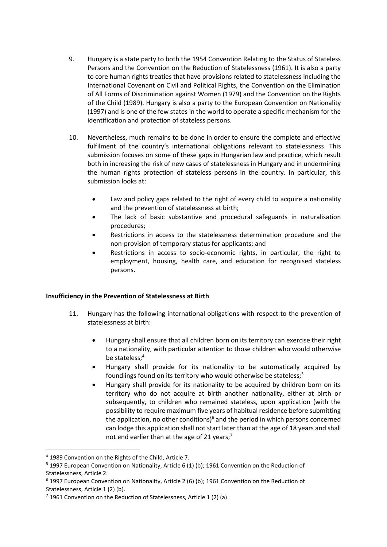- 9. Hungary is a state party to both the 1954 Convention Relating to the Status of Stateless Persons and the Convention on the Reduction of Statelessness (1961). It is also a party to core human rights treaties that have provisions related to statelessness including the International Covenant on Civil and Political Rights, the Convention on the Elimination of All Forms of Discrimination against Women (1979) and the Convention on the Rights of the Child (1989). Hungary is also a party to the European Convention on Nationality (1997) and is one of the few states in the world to operate a specific mechanism for the identification and protection of stateless persons.
- 10. Nevertheless, much remains to be done in order to ensure the complete and effective fulfilment of the country's international obligations relevant to statelessness. This submission focuses on some of these gaps in Hungarian law and practice, which result both in increasing the risk of new cases of statelessness in Hungary and in undermining the human rights protection of stateless persons in the country. In particular, this submission looks at:
	- Law and policy gaps related to the right of every child to acquire a nationality and the prevention of statelessness at birth;
	- The lack of basic substantive and procedural safeguards in naturalisation procedures;
	- Restrictions in access to the statelessness determination procedure and the non-provision of temporary status for applicants; and
	- Restrictions in access to socio-economic rights, in particular, the right to employment, housing, health care, and education for recognised stateless persons.

# **Insufficiency in the Prevention of Statelessness at Birth**

- 11. Hungary has the following international obligations with respect to the prevention of statelessness at birth:
	- Hungary shall ensure that all children born on its territory can exercise their right to a nationality, with particular attention to those children who would otherwise be stateless;<sup>4</sup>
	- Hungary shall provide for its nationality to be automatically acquired by foundlings found on its territory who would otherwise be stateless;<sup>5</sup>
	- Hungary shall provide for its nationality to be acquired by children born on its territory who do not acquire at birth another nationality, either at birth or subsequently, to children who remained stateless, upon application (with the possibility to require maximum five years of habitual residence before submitting the application, no other conditions) $6$  and the period in which persons concerned can lodge this application shall not start later than at the age of 18 years and shall not end earlier than at the age of 21 years;<sup>7</sup>

<sup>4</sup> 1989 Convention on the Rights of the Child, Article 7.

<sup>&</sup>lt;sup>5</sup> 1997 European Convention on Nationality, Article 6 (1) (b); 1961 Convention on the Reduction of Statelessness, Article 2.

<sup>6</sup> 1997 European Convention on Nationality, Article 2 (6) (b); 1961 Convention on the Reduction of Statelessness, Article 1 (2) (b).

<sup>&</sup>lt;sup>7</sup> 1961 Convention on the Reduction of Statelessness, Article 1 (2) (a).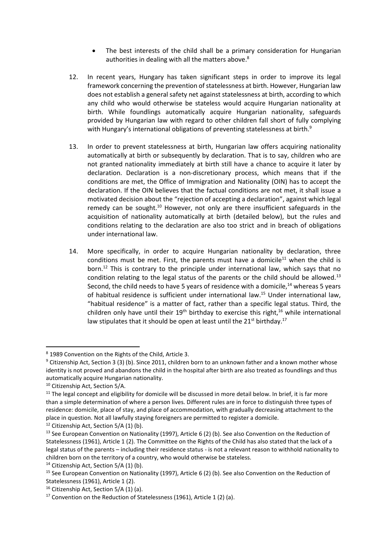- The best interests of the child shall be a primary consideration for Hungarian authorities in dealing with all the matters above.<sup>8</sup>
- 12. In recent years, Hungary has taken significant steps in order to improve its legal framework concerning the prevention of statelessness at birth. However, Hungarian law does not establish a general safety net against statelessness at birth, according to which any child who would otherwise be stateless would acquire Hungarian nationality at birth. While foundlings automatically acquire Hungarian nationality, safeguards provided by Hungarian law with regard to other children fall short of fully complying with Hungary's international obligations of preventing statelessness at birth.<sup>9</sup>
- 13. In order to prevent statelessness at birth, Hungarian law offers acquiring nationality automatically at birth or subsequently by declaration. That is to say, children who are not granted nationality immediately at birth still have a chance to acquire it later by declaration. Declaration is a non-discretionary process, which means that if the conditions are met, the Office of Immigration and Nationality (OIN) has to accept the declaration. If the OIN believes that the factual conditions are not met, it shall issue a motivated decision about the "rejection of accepting a declaration", against which legal remedy can be sought.<sup>10</sup> However, not only are there insufficient safeguards in the acquisition of nationality automatically at birth (detailed below), but the rules and conditions relating to the declaration are also too strict and in breach of obligations under international law.
- 14. More specifically, in order to acquire Hungarian nationality by declaration, three conditions must be met. First, the parents must have a domicile<sup>11</sup> when the child is born.<sup>12</sup> This is contrary to the principle under international law, which says that no condition relating to the legal status of the parents or the child should be allowed.<sup>13</sup> Second, the child needs to have 5 years of residence with a domicile, $14$  whereas 5 years of habitual residence is sufficient under international law.<sup>15</sup> Under international law, "habitual residence" is a matter of fact, rather than a specific legal status. Third, the children only have until their  $19<sup>th</sup>$  birthday to exercise this right,<sup>16</sup> while international law stipulates that it should be open at least until the  $21<sup>st</sup>$  birthday.<sup>17</sup>

<sup>8</sup> 1989 Convention on the Rights of the Child, Article 3.

<sup>&</sup>lt;sup>9</sup> Citizenship Act, Section 3 (3) (b). Since 2011, children born to an unknown father and a known mother whose identity is not proved and abandons the child in the hospital after birth are also treated as foundlings and thus automatically acquire Hungarian nationality.

<sup>10</sup> Citizenship Act, Section 5/A.

 $11$  The legal concept and eligibility for domicile will be discussed in more detail below. In brief, it is far more than a simple determination of where a person lives. Different rules are in force to distinguish three types of residence: domicile, place of stay, and place of accommodation, with gradually decreasing attachment to the place in question. Not all lawfully staying foreigners are permitted to register a domicile.

<sup>&</sup>lt;sup>12</sup> Citizenship Act, Section 5/A (1) (b).

<sup>&</sup>lt;sup>13</sup> See European Convention on Nationality (1997), Article 6 (2) (b). See also Convention on the Reduction of Statelessness (1961), Article 1 (2). The Committee on the Rights of the Child has also stated that the lack of a legal status of the parents – including their residence status - is not a relevant reason to withhold nationality to children born on the territory of a country, who would otherwise be stateless.

 $14$  Citizenship Act, Section 5/A (1) (b).

<sup>15</sup> See European Convention on Nationality (1997), Article 6 (2) (b). See also Convention on the Reduction of Statelessness (1961), Article 1 (2).

<sup>&</sup>lt;sup>16</sup> Citizenship Act, Section 5/A (1) (a).

<sup>&</sup>lt;sup>17</sup> Convention on the Reduction of Statelessness (1961), Article 1 (2) (a).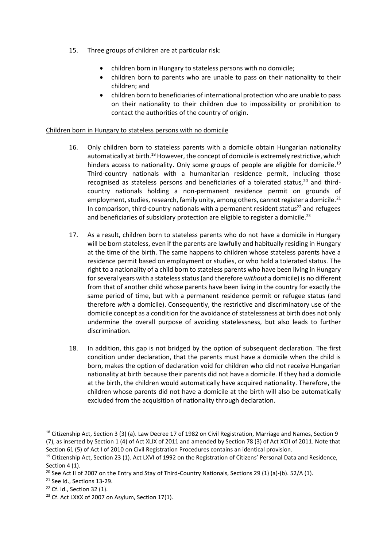- 15. Three groups of children are at particular risk:
	- children born in Hungary to stateless persons with no domicile;
	- children born to parents who are unable to pass on their nationality to their children; and
	- children born to beneficiaries of international protection who are unable to pass on their nationality to their children due to impossibility or prohibition to contact the authorities of the country of origin.

### Children born in Hungary to stateless persons with no domicile

- 16. Only children born to stateless parents with a domicile obtain Hungarian nationality automatically at birth.<sup>18</sup> However, the concept of domicile is extremely restrictive, which hinders access to nationality. Only some groups of people are eligible for domicile.<sup>19</sup> Third-country nationals with a humanitarian residence permit, including those recognised as stateless persons and beneficiaries of a tolerated status.<sup>20</sup> and thirdcountry nationals holding a non-permanent residence permit on grounds of employment, studies, research, family unity, among others, cannot register a domicile.<sup>21</sup> In comparison, third-country nationals with a permanent resident status $2<sup>2</sup>$  and refugees and beneficiaries of subsidiary protection are eligible to register a domicile.<sup>23</sup>
- 17. As a result, children born to stateless parents who do not have a domicile in Hungary will be born stateless, even if the parents are lawfully and habitually residing in Hungary at the time of the birth. The same happens to children whose stateless parents have a residence permit based on employment or studies, or who hold a tolerated status. The right to a nationality of a child born to stateless parents who have been living in Hungary for several years with a stateless status (and therefore *without* a domicile) is no different from that of another child whose parents have been living in the country for exactly the same period of time, but with a permanent residence permit or refugee status (and therefore *with* a domicile). Consequently, the restrictive and discriminatory use of the domicile concept as a condition for the avoidance of statelessness at birth does not only undermine the overall purpose of avoiding statelessness, but also leads to further discrimination.
- 18. In addition, this gap is not bridged by the option of subsequent declaration. The first condition under declaration, that the parents must have a domicile when the child is born, makes the option of declaration void for children who did not receive Hungarian nationality at birth because their parents did not have a domicile. If they had a domicile at the birth, the children would automatically have acquired nationality. Therefore, the children whose parents did not have a domicile at the birth will also be automatically excluded from the acquisition of nationality through declaration.

<sup>&</sup>lt;sup>18</sup> Citizenship Act, Section 3 (3) (a). Law Decree 17 of 1982 on Civil Registration, Marriage and Names, Section 9 (7), as inserted by Section 1 (4) of Act XLIX of 2011 and amended by Section 78 (3) of Act XCII of 2011. Note that Section 61 (5) of Act I of 2010 on Civil Registration Procedures contains an identical provision.

<sup>&</sup>lt;sup>19</sup> Citizenship Act, Section 23 (1). Act LXVI of 1992 on the Registration of Citizens' Personal Data and Residence, Section 4 (1).

<sup>&</sup>lt;sup>20</sup> See Act II of 2007 on the Entry and Stay of Third-Country Nationals, Sections 29 (1) (a)-(b). 52/A (1).

<sup>&</sup>lt;sup>21</sup> See Id., Sections 13-29.

<sup>22</sup> Cf. Id., Section 32 (1).

<sup>&</sup>lt;sup>23</sup> Cf. Act LXXX of 2007 on Asylum, Section 17(1).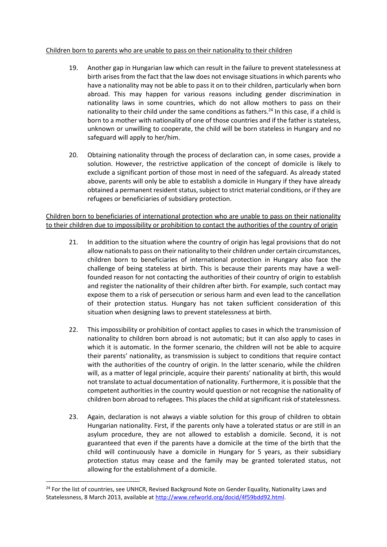### Children born to parents who are unable to pass on their nationality to their children

- 19. Another gap in Hungarian law which can result in the failure to prevent statelessness at birth arises from the fact that the law does not envisage situations in which parents who have a nationality may not be able to pass it on to their children, particularly when born abroad. This may happen for various reasons including gender discrimination in nationality laws in some countries, which do not allow mothers to pass on their nationality to their child under the same conditions as fathers.<sup>24</sup> In this case, if a child is born to a mother with nationality of one of those countries and if the father is stateless, unknown or unwilling to cooperate, the child will be born stateless in Hungary and no safeguard will apply to her/him.
- 20. Obtaining nationality through the process of declaration can, in some cases, provide a solution. However, the restrictive application of the concept of domicile is likely to exclude a significant portion of those most in need of the safeguard. As already stated above, parents will only be able to establish a domicile in Hungary if they have already obtained a permanent resident status, subject to strict material conditions, or if they are refugees or beneficiaries of subsidiary protection.

Children born to beneficiaries of international protection who are unable to pass on their nationality to their children due to impossibility or prohibition to contact the authorities of the country of origin

- 21. In addition to the situation where the country of origin has legal provisions that do not allow nationals to pass on their nationality to their children under certain circumstances, children born to beneficiaries of international protection in Hungary also face the challenge of being stateless at birth. This is because their parents may have a wellfounded reason for not contacting the authorities of their country of origin to establish and register the nationality of their children after birth. For example, such contact may expose them to a risk of persecution or serious harm and even lead to the cancellation of their protection status. Hungary has not taken sufficient consideration of this situation when designing laws to prevent statelessness at birth.
- 22. This impossibility or prohibition of contact applies to cases in which the transmission of nationality to children born abroad is not automatic; but it can also apply to cases in which it is automatic. In the former scenario, the children will not be able to acquire their parents' nationality, as transmission is subject to conditions that require contact with the authorities of the country of origin. In the latter scenario, while the children will, as a matter of legal principle, acquire their parents' nationality at birth, this would not translate to actual documentation of nationality. Furthermore, it is possible that the competent authorities in the country would question or not recognise the nationality of children born abroad to refugees. This places the child at significant risk of statelessness.
- 23. Again, declaration is not always a viable solution for this group of children to obtain Hungarian nationality. First, if the parents only have a tolerated status or are still in an asylum procedure, they are not allowed to establish a domicile. Second, it is not guaranteed that even if the parents have a domicile at the time of the birth that the child will continuously have a domicile in Hungary for 5 years, as their subsidiary protection status may cease and the family may be granted tolerated status, not allowing for the establishment of a domicile.

<sup>&</sup>lt;sup>24</sup> For the list of countries, see UNHCR, Revised Background Note on Gender Equality, Nationality Laws and Statelessness, 8 March 2013, available at [http://www.refworld.org/docid/4f59bdd92.html.](http://www.refworld.org/docid/4f59bdd92.html)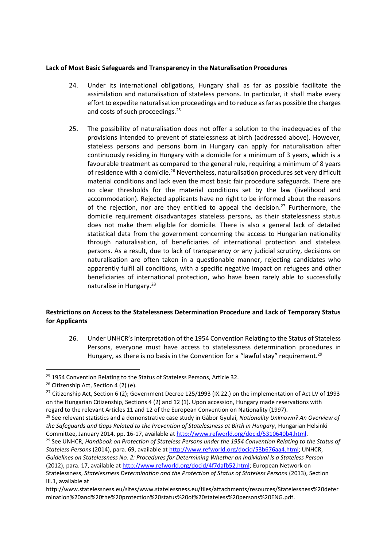### **Lack of Most Basic Safeguards and Transparency in the Naturalisation Procedures**

- 24. Under its international obligations, Hungary shall as far as possible facilitate the assimilation and naturalisation of stateless persons. In particular, it shall make every effort to expedite naturalisation proceedings and to reduce as far as possible the charges and costs of such proceedings.<sup>25</sup>
- 25. The possibility of naturalisation does not offer a solution to the inadequacies of the provisions intended to prevent of statelessness at birth (addressed above). However, stateless persons and persons born in Hungary can apply for naturalisation after continuously residing in Hungary with a domicile for a minimum of 3 years, which is a favourable treatment as compared to the general rule, requiring a minimum of 8 years of residence with a domicile.<sup>26</sup> Nevertheless, naturalisation procedures set very difficult material conditions and lack even the most basic fair procedure safeguards. There are no clear thresholds for the material conditions set by the law (livelihood and accommodation). Rejected applicants have no right to be informed about the reasons of the rejection, nor are they entitled to appeal the decision.<sup>27</sup> Furthermore, the domicile requirement disadvantages stateless persons, as their statelessness status does not make them eligible for domicile. There is also a general lack of detailed statistical data from the government concerning the access to Hungarian nationality through naturalisation, of beneficiaries of international protection and stateless persons. As a result, due to lack of transparency or any judicial scrutiny, decisions on naturalisation are often taken in a questionable manner, rejecting candidates who apparently fulfil all conditions, with a specific negative impact on refugees and other beneficiaries of international protection, who have been rarely able to successfully naturalise in Hungary.<sup>28</sup>

# **Restrictions on Access to the Statelessness Determination Procedure and Lack of Temporary Status for Applicants**

26. Under UNHCR's interpretation of the 1954 Convention Relating to the Status of Stateless Persons, everyone must have access to statelessness determination procedures in Hungary, as there is no basis in the Convention for a "lawful stay" requirement.<sup>29</sup>

<sup>&</sup>lt;sup>25</sup> 1954 Convention Relating to the Status of Stateless Persons, Article 32.

 $26$  Citizenship Act, Section 4 (2) (e).

<sup>&</sup>lt;sup>27</sup> Citizenship Act, Section 6 (2); Government Decree 125/1993 (IX.22.) on the implementation of Act LV of 1993 on the Hungarian Citizenship, Sections 4 (2) and 12 (1). Upon accession, Hungary made reservations with regard to the relevant Articles 11 and 12 of the European Convention on Nationality (1997).

<sup>28</sup> See relevant statistics and a demonstrative case study in Gábor Gyulai, *Nationality Unknown? An Overview of the Safeguards and Gaps Related to the Prevention of Statelessness at Birth in Hungary*, Hungarian Helsinki Committee, January 2014, pp. 16-17, available at [http://www.refworld.org/docid/5310640b4.html.](http://www.refworld.org/docid/5310640b4.html)

<sup>29</sup> See UNHCR, *Handbook on Protection of Stateless Persons under the 1954 Convention Relating to the Status of Stateless Persons* (2014), para. 69, available a[t http://www.refworld.org/docid/53b676aa4.html;](http://www.refworld.org/docid/53b676aa4.html) UNHCR, *Guidelines on Statelessness No. 2: Procedures for Determining Whether an Individual Is a Stateless Person* (2012), para. 17, available a[t http://www.refworld.org/docid/4f7dafb52.html;](http://www.refworld.org/docid/4f7dafb52.html) European Network on Statelessness, *Statelessness Determination and the Protection of Status of Stateless Persons* (2013), Section III.1, available at

http://www.statelessness.eu/sites/www.statelessness.eu/files/attachments/resources/Statelessness%20deter mination%20and%20the%20protection%20status%20of%20stateless%20persons%20ENG.pdf.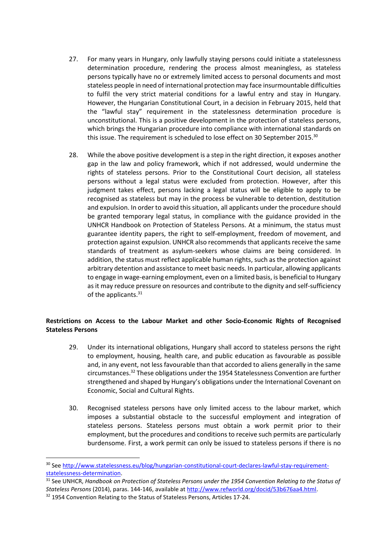- 27. For many years in Hungary, only lawfully staying persons could initiate a statelessness determination procedure, rendering the process almost meaningless, as stateless persons typically have no or extremely limited access to personal documents and most stateless people in need of international protection may face insurmountable difficulties to fulfil the very strict material conditions for a lawful entry and stay in Hungary. However, the Hungarian Constitutional Court, in a decision in February 2015, held that the "lawful stay" requirement in the statelessness determination procedure is unconstitutional. This is a positive development in the protection of stateless persons, which brings the Hungarian procedure into compliance with international standards on this issue. The requirement is scheduled to lose effect on 30 September 2015.<sup>30</sup>
- 28. While the above positive development is a step in the right direction, it exposes another gap in the law and policy framework, which if not addressed, would undermine the rights of stateless persons. Prior to the Constitutional Court decision, all stateless persons without a legal status were excluded from protection. However, after this judgment takes effect, persons lacking a legal status will be eligible to apply to be recognised as stateless but may in the process be vulnerable to detention, destitution and expulsion. In order to avoid this situation, all applicants under the procedure should be granted temporary legal status, in compliance with the guidance provided in the UNHCR Handbook on Protection of Stateless Persons. At a minimum, the status must guarantee identity papers, the right to self-employment, freedom of movement, and protection against expulsion. UNHCR also recommends that applicants receive the same standards of treatment as asylum-seekers whose claims are being considered. In addition, the status must reflect applicable human rights, such as the protection against arbitrary detention and assistance to meet basic needs. In particular, allowing applicants to engage in wage-earning employment, even on a limited basis, is beneficial to Hungary as it may reduce pressure on resources and contribute to the dignity and self-sufficiency of the applicants.<sup>31</sup>

# **Restrictions on Access to the Labour Market and other Socio-Economic Rights of Recognised Stateless Persons**

- 29. Under its international obligations, Hungary shall accord to stateless persons the right to employment, housing, health care, and public education as favourable as possible and, in any event, not less favourable than that accorded to aliens generally in the same circumstances.<sup>32</sup> These obligations under the 1954 Statelessness Convention are further strengthened and shaped by Hungary's obligations under the International Covenant on Economic, Social and Cultural Rights.
- 30. Recognised stateless persons have only limited access to the labour market, which imposes a substantial obstacle to the successful employment and integration of stateless persons. Stateless persons must obtain a work permit prior to their employment, but the procedures and conditions to receive such permits are particularly burdensome. First, a work permit can only be issued to stateless persons if there is no

<sup>31</sup> See UNHCR, *Handbook on Protection of Stateless Persons under the 1954 Convention Relating to the Status of Stateless Persons* (2014), paras. 144-146, available at [http://www.refworld.org/docid/53b676aa4.html.](http://www.refworld.org/docid/53b676aa4.html)

<sup>&</sup>lt;sup>30</sup> Se[e http://www.statelessness.eu/blog/hungarian-constitutional-court-declares-lawful-stay-requirement](http://www.statelessness.eu/blog/hungarian-constitutional-court-declares-lawful-stay-requirement-statelessness-determination)[statelessness-determination.](http://www.statelessness.eu/blog/hungarian-constitutional-court-declares-lawful-stay-requirement-statelessness-determination)

<sup>32 1954</sup> Convention Relating to the Status of Stateless Persons, Articles 17-24.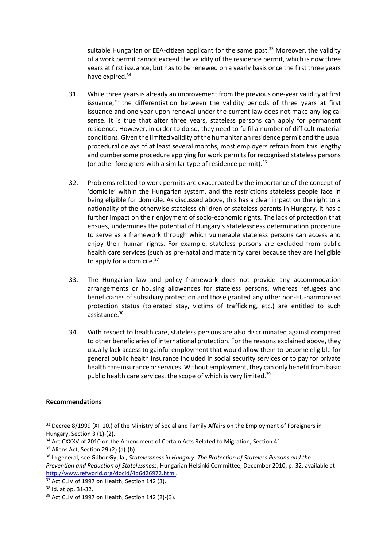suitable Hungarian or EEA-citizen applicant for the same post.<sup>33</sup> Moreover, the validity of a work permit cannot exceed the validity of the residence permit, which is now three years at first issuance, but has to be renewed on a yearly basis once the first three years have expired. 34

- 31. While three years is already an improvement from the previous one-year validity at first issuance, $35$  the differentiation between the validity periods of three years at first issuance and one year upon renewal under the current law does not make any logical sense. It is true that after three years, stateless persons can apply for permanent residence. However, in order to do so, they need to fulfil a number of difficult material conditions. Given the limited validity of the humanitarian residence permit and the usual procedural delays of at least several months, most employers refrain from this lengthy and cumbersome procedure applying for work permits for recognised stateless persons (or other foreigners with a similar type of residence permit). 36
- 32. Problems related to work permits are exacerbated by the importance of the concept of 'domicile' within the Hungarian system, and the restrictions stateless people face in being eligible for domicile. As discussed above, this has a clear impact on the right to a nationality of the otherwise stateless children of stateless parents in Hungary. It has a further impact on their enjoyment of socio-economic rights. The lack of protection that ensues, undermines the potential of Hungary's statelessness determination procedure to serve as a framework through which vulnerable stateless persons can access and enjoy their human rights. For example, stateless persons are excluded from public health care services (such as pre-natal and maternity care) because they are ineligible to apply for a domicile.<sup>37</sup>
- 33. The Hungarian law and policy framework does not provide any accommodation arrangements or housing allowances for stateless persons, whereas refugees and beneficiaries of subsidiary protection and those granted any other non-EU-harmonised protection status (tolerated stay, victims of trafficking, etc.) are entitled to such assistance.<sup>38</sup>
- 34. With respect to health care, stateless persons are also discriminated against compared to other beneficiaries of international protection. For the reasons explained above, they usually lack access to gainful employment that would allow them to become eligible for general public health insurance included in social security services or to pay for private health care insurance or services. Without employment, they can only benefit from basic public health care services, the scope of which is very limited.<sup>39</sup>

#### **Recommendations**

<sup>&</sup>lt;sup>33</sup> Decree 8/1999 (XI. 10.) of the Ministry of Social and Family Affairs on the Employment of Foreigners in Hungary, Section 3 (1)-(2).

<sup>&</sup>lt;sup>34</sup> Act CXXXV of 2010 on the Amendment of Certain Acts Related to Migration, Section 41.

 $35$  Aliens Act, Section 29 (2) (a)-(b).

<sup>36</sup> In general, see Gábor Gyulai, *Statelessness in Hungary: The Protection of Stateless Persons and the Prevention and Reduction of Statelessness*, Hungarian Helsinki Committee, December 2010, p. 32, available at [http://www.refworld.org/docid/4d6d26972.html.](http://www.refworld.org/docid/4d6d26972.html)

 $37$  Act CLIV of 1997 on Health, Section 142 (3).

<sup>38</sup> Id. at pp. 31-32.

<sup>39</sup> Act CLIV of 1997 on Health, Section 142 (2)-(3).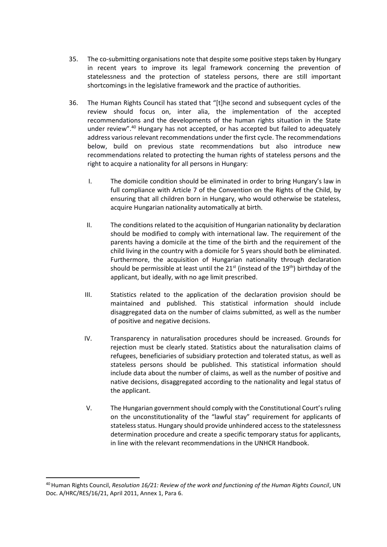- 35. The co-submitting organisations note that despite some positive steps taken by Hungary in recent years to improve its legal framework concerning the prevention of statelessness and the protection of stateless persons, there are still important shortcomings in the legislative framework and the practice of authorities.
- 36. The Human Rights Council has stated that "[t]he second and subsequent cycles of the review should focus on, inter alia, the implementation of the accepted recommendations and the developments of the human rights situation in the State under review".<sup>40</sup> Hungary has not accepted, or has accepted but failed to adequately address various relevant recommendations under the first cycle. The recommendations below, build on previous state recommendations but also introduce new recommendations related to protecting the human rights of stateless persons and the right to acquire a nationality for all persons in Hungary:
	- I. The domicile condition should be eliminated in order to bring Hungary's law in full compliance with Article 7 of the Convention on the Rights of the Child, by ensuring that all children born in Hungary, who would otherwise be stateless, acquire Hungarian nationality automatically at birth.
	- II. The conditions related to the acquisition of Hungarian nationality by declaration should be modified to comply with international law. The requirement of the parents having a domicile at the time of the birth and the requirement of the child living in the country with a domicile for 5 years should both be eliminated. Furthermore, the acquisition of Hungarian nationality through declaration should be permissible at least until the  $21<sup>st</sup>$  (instead of the  $19<sup>th</sup>$ ) birthday of the applicant, but ideally, with no age limit prescribed.
	- III. Statistics related to the application of the declaration provision should be maintained and published. This statistical information should include disaggregated data on the number of claims submitted, as well as the number of positive and negative decisions.
	- IV. Transparency in naturalisation procedures should be increased. Grounds for rejection must be clearly stated. Statistics about the naturalisation claims of refugees, beneficiaries of subsidiary protection and tolerated status, as well as stateless persons should be published. This statistical information should include data about the number of claims, as well as the number of positive and native decisions, disaggregated according to the nationality and legal status of the applicant.
	- V. The Hungarian government should comply with the Constitutional Court's ruling on the unconstitutionality of the "lawful stay" requirement for applicants of stateless status. Hungary should provide unhindered access to the statelessness determination procedure and create a specific temporary status for applicants, in line with the relevant recommendations in the UNHCR Handbook.

<sup>&</sup>lt;sup>40</sup> Human Rights Council, *Resolution 16/21: Review of the work and functioning of the Human Rights Council*, UN Doc. A/HRC/RES/16/21, April 2011, Annex 1, Para 6.